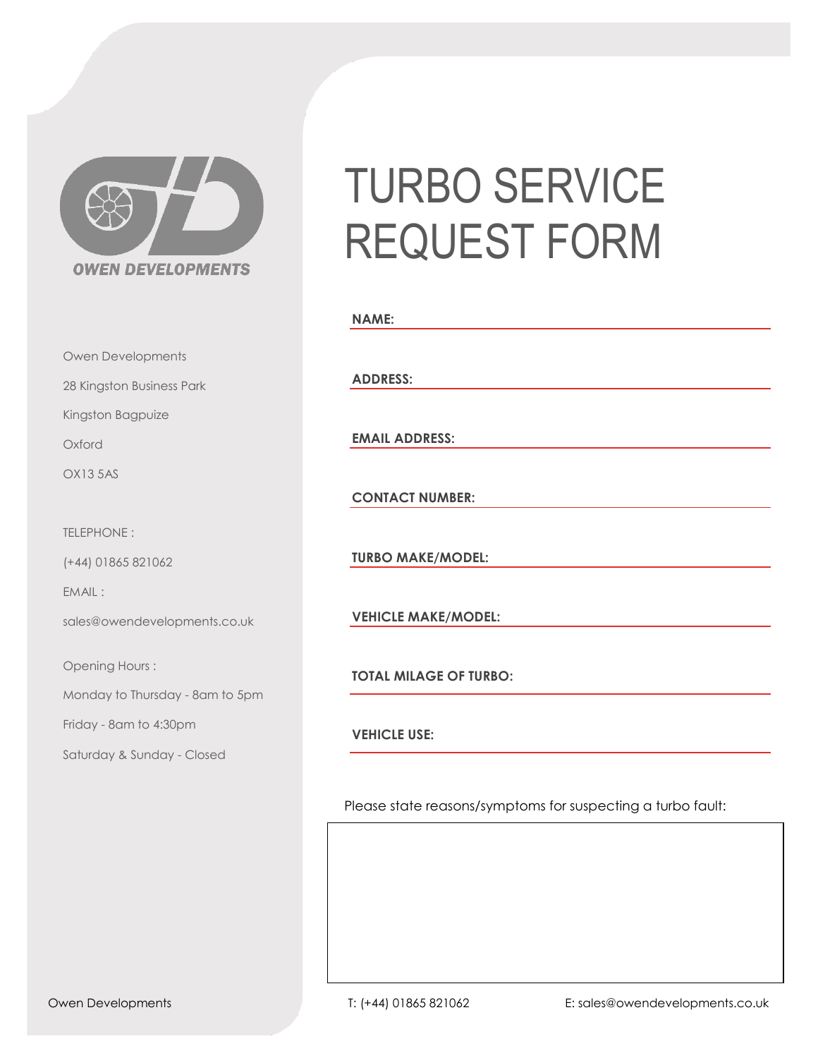

Owen Developments

28 Kingston Business Park

Kingston Bagpuize

Oxford

OX13 5AS

TELEPHONE :

(+44) 01865 821062

EMAIL :

sales@owendevelopments.co.uk

Opening Hours :

Monday to Thursday - 8am to 5pm

Friday - 8am to 4:30pm

Saturday & Sunday - Closed

## TURBO SERVICE REQUEST FORM

| <b>NAME:</b>                  |  |  |
|-------------------------------|--|--|
| <b>ADDRESS:</b>               |  |  |
| <b>EMAIL ADDRESS:</b>         |  |  |
| <b>CONTACT NUMBER:</b>        |  |  |
| <b>TURBO MAKE/MODEL:</b>      |  |  |
| <b>VEHICLE MAKE/MODEL:</b>    |  |  |
|                               |  |  |
| <b>TOTAL MILAGE OF TURBO:</b> |  |  |

**VEHICLE USE:**

Please state reasons/symptoms for suspecting a turbo fault: